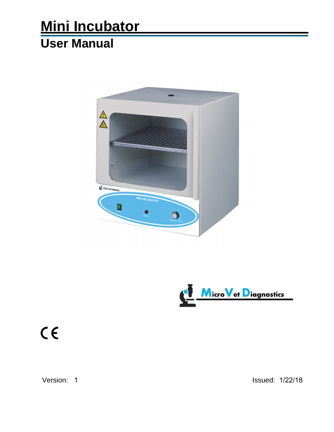## **Mini Incubator User Manual**





# $C \in$

Version: 1 **Issued: 1/22/18**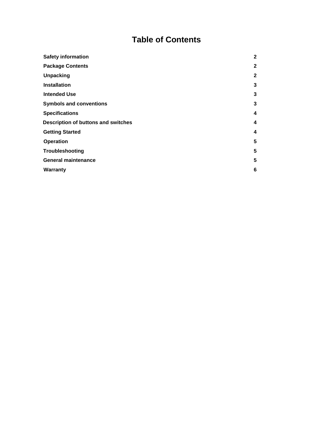#### **Table of Contents**

| <b>Safety information</b>           | $\overline{2}$ |
|-------------------------------------|----------------|
| <b>Package Contents</b>             | $\mathbf{2}$   |
| <b>Unpacking</b>                    | $\mathbf{2}$   |
| <b>Installation</b>                 | 3              |
| <b>Intended Use</b>                 | 3              |
| <b>Symbols and conventions</b>      | 3              |
| <b>Specifications</b>               | 4              |
| Description of buttons and switches | 4              |
| <b>Getting Started</b>              | 4              |
| <b>Operation</b>                    | 5              |
| Troubleshooting                     | 5              |
| <b>General maintenance</b>          | 5              |
| <b>Warranty</b>                     | 6              |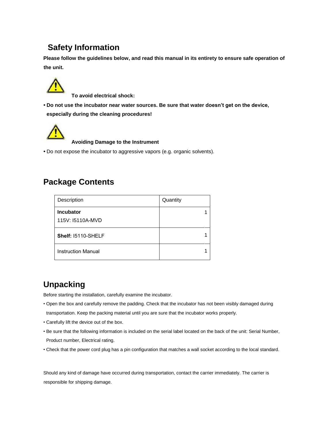#### **Safety Information**

**Please follow the guidelines below, and read this manual in its entirety to ensure safe operation of the unit.**



**To avoid electrical shock:**

**• Do not use the incubator near water sources. Be sure that water doesn't get on the device, especially during the cleaning procedures!**



**Avoiding Damage to the Instrument**

**•** Do not expose the incubator to aggressive vapors (e.g. organic solvents).

#### **Package Contents**

| Description                          | Quantity |
|--------------------------------------|----------|
| <b>Incubator</b><br>115V: I5110A-MVD |          |
| Shelf: 15110-SHELF                   |          |
| <b>Instruction Manual</b>            |          |

#### **Unpacking**

Before starting the installation, carefully examine the incubator.

- Open the box and carefully remove the padding. Check that the incubator has not been visibly damaged during transportation. Keep the packing material until you are sure that the incubator works properly.
- Carefully lift the device out of the box.
- Be sure that the following information is included on the serial label located on the back of the unit: Serial Number, Product number, Electrical rating.
- Check that the power cord plug has a pin configuration that matches a wall socket according to the local standard.

Should any kind of damage have occurred during transportation, contact the carrier immediately. The carrier is responsible for shipping damage.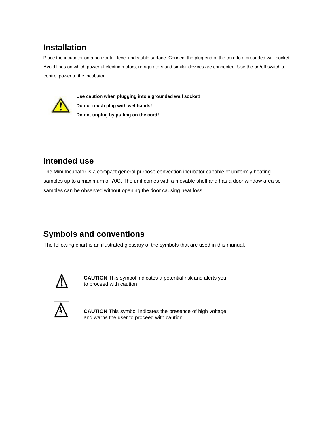## **Installation**

Place the incubator on a horizontal, level and stable surface. Connect the plug end of the cord to a grounded wall socket. Avoid lines on which powerful electric motors, refrigerators and similar devices are connected. Use the on/off switch to control power to the incubator.



**Use caution when plugging into a grounded wall socket! Do not touch plug with wet hands! Do not unplug by pulling on the cord!**

## **Intended use**

The Mini Incubator is a compact general purpose convection incubator capable of uniformly heating samples up to a maximum of 70C. The unit comes with a movable shelf and has a door window area so samples can be observed without opening the door causing heat loss.

## **Symbols and conventions**

The following chart is an illustrated glossary of the symbols that are used in this manual.



**CAUTION** This symbol indicates a potential risk and alerts you to proceed with caution



**CAUTION** This symbol indicates the presence of high voltage and warns the user to proceed with caution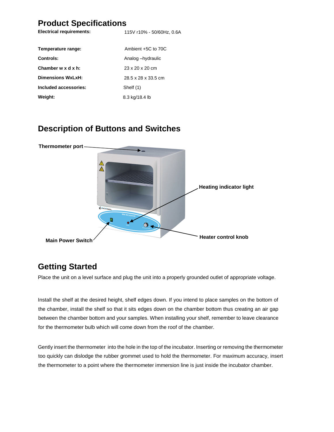#### **Product Specifications**

| <b>Electrical requirements:</b> | 115V r10% - 50/60Hz, 0.6A   |
|---------------------------------|-----------------------------|
| Temperature range:              | Ambient +5C to 70C          |
| Controls:                       | Analog-hydraulic            |
| Chamber w x d x h:              | $23 \times 20 \times 20$ cm |
| Dimensions WxLxH:               | 28.5 x 28 x 33.5 cm         |
| Included accessories:           | Shelf (1)                   |
| Weight:                         | 8.3 kg/18.4 lb              |

#### **Description of Buttons and Switches**



#### **Getting Started**

Place the unit on a level surface and plug the unit into a properly grounded outlet of appropriate voltage.

Install the shelf at the desired height, shelf edges down. If you intend to place samples on the bottom of the chamber, install the shelf so that it sits edges down on the chamber bottom thus creating an air gap between the chamber bottom and your samples. When installing your shelf, remember to leave clearance for the thermometer bulb which will come down from the roof of the chamber.

Gently insert the thermometer into the hole in the top of the incubator. Inserting or removing the thermometer too quickly can dislodge the rubber grommet used to hold the thermometer. For maximum accuracy, insert the thermometer to a point where the thermometer immersion line is just inside the incubator chamber.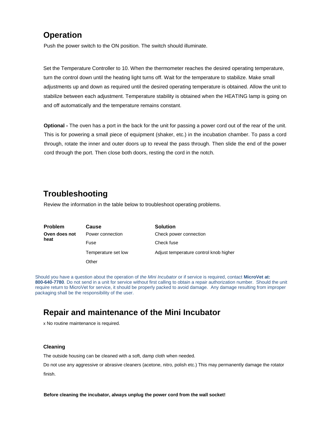#### **Operation**

Push the power switch to the ON position. The switch should illuminate.

Set the Temperature Controller to 10. When the thermometer reaches the desired operating temperature, turn the control down until the heating light turns off. Wait for the temperature to stabilize. Make small adjustments up and down as required until the desired operating temperature is obtained. Allow the unit to stabilize between each adjustment. Temperature stability is obtained when the HEATING lamp is going on and off automatically and the temperature remains constant.

**Optional -** The oven has a port in the back for the unit for passing a power cord out of the rear of the unit. This is for powering a small piece of equipment (shaker, etc.) in the incubation chamber. To pass a cord through, rotate the inner and outer doors up to reveal the pass through. Then slide the end of the power cord through the port. Then close both doors, resting the cord in the notch.

#### **Troubleshooting**

Review the information in the table below to troubleshoot operating problems.

| <b>Problem</b>        | Cause               | <b>Solution</b>                        |
|-----------------------|---------------------|----------------------------------------|
| Oven does not<br>heat | Power connection    | Check power connection                 |
|                       | Fuse                | Check fuse                             |
|                       | Temperature set low | Adjust temperature control knob higher |
|                       | Other               |                                        |

Should you have a question about the operation of *the Mini Incubator* or if service is required, contact **MicroVet at: 800-640-7780**. Do not send in a unit for service without first calling to obtain a repair authorization number. Should the unit require return to MicroVet for service, it should be properly packed to avoid damage. Any damage resulting from improper packaging shall be the responsibility of the user.

#### **Repair and maintenance of the Mini Incubator**

x No routine maintenance is required.

#### **Cleaning**

The outside housing can be cleaned with a soft, damp cloth when needed.

Do not use any aggressive or abrasive cleaners (acetone, nitro, polish etc.) This may permanently damage the rotator

finish.

**Before cleaning the incubator, always unplug the power cord from the wall socket!**